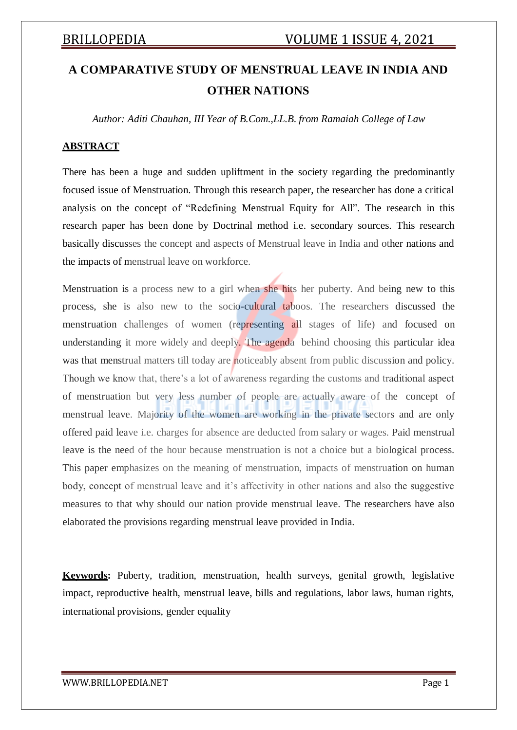# **A COMPARATIVE STUDY OF MENSTRUAL LEAVE IN INDIA AND OTHER NATIONS**

*Author: Aditi Chauhan, III Year of B.Com.,LL.B. from Ramaiah College of Law*

### **ABSTRACT**

There has been a huge and sudden upliftment in the society regarding the predominantly focused issue of Menstruation. Through this research paper, the researcher has done a critical analysis on the concept of "Redefining Menstrual Equity for All". The research in this research paper has been done by Doctrinal method i.e. secondary sources. This research basically discusses the concept and aspects of Menstrual leave in India and other nations and the impacts of menstrual leave on workforce.

Menstruation is a process new to a girl when she hits her puberty. And being new to this process, she is also new to the socio-cultural taboos. The researchers discussed the menstruation challenges of women (representing all stages of life) and focused on understanding it more widely and deeply. The agenda behind choosing this particular idea was that menstrual matters till today are noticeably absent from public discussion and policy. Though we know that, there's a lot of awareness regarding the customs and traditional aspect of menstruation but very less number of people are actually aware of the concept of menstrual leave. Majority of the women are working in the private sectors and are only offered paid leave i.e. charges for absence are deducted from salary or wages. Paid menstrual leave is the need of the hour because menstruation is not a choice but a biological process. This paper emphasizes on the meaning of menstruation, impacts of menstruation on human body, concept of menstrual leave and it's affectivity in other nations and also the suggestive measures to that why should our nation provide menstrual leave. The researchers have also elaborated the provisions regarding menstrual leave provided in India.

**Keywords:** Puberty, tradition, menstruation, health surveys, genital growth, legislative impact, reproductive health, menstrual leave, bills and regulations, labor laws, human rights, international provisions, gender equality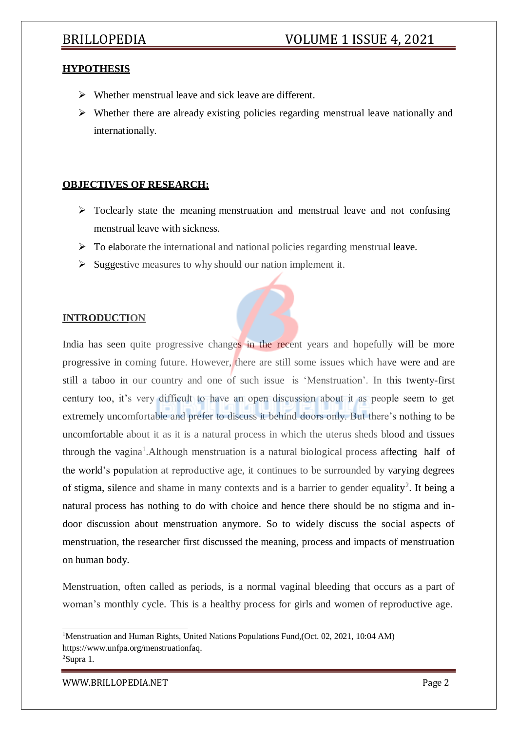### **HYPOTHESIS**

- $\triangleright$  Whether menstrual leave and sick leave are different.
- $\triangleright$  Whether there are already existing policies regarding menstrual leave nationally and internationally.

### **OBJECTIVES OF RESEARCH:**

- $\triangleright$  Toclearly state the meaning menstruation and menstrual leave and not confusing menstrual leave with sickness.
- $\triangleright$  To elaborate the international and national policies regarding menstrual leave.
- $\triangleright$  Suggestive measures to why should our nation implement it.

### **INTRODUCTION**

India has seen quite progressive changes in the recent years and hopefully will be more progressive in coming future. However, there are still some issues which have were and are still a taboo in our country and one of such issue is 'Menstruation'. In this twenty-first century too, it's very difficult to have an open discussion about it as people seem to get extremely uncomfortable and prefer to discuss it behind doors only. But there's nothing to be uncomfortable about it as it is a natural process in which the uterus sheds blood and tissues through the vagina<sup>1</sup>. Although menstruation is a natural biological process affecting half of the world's population at reproductive age, it continues to be surrounded by varying degrees of stigma, silence and shame in many contexts and is a barrier to gender equality<sup>2</sup>. It being a natural process has nothing to do with choice and hence there should be no stigma and indoor discussion about menstruation anymore. So to widely discuss the social aspects of menstruation, the researcher first discussed the meaning, process and impacts of menstruation on human body.

Menstruation, often called as periods, is a normal vaginal bleeding that occurs as a part of woman's monthly cycle. This is a healthy process for girls and women of reproductive age.

<sup>&</sup>lt;sup>1</sup>Menstruation and Human Rights, United Nations Populations Fund, (Oct. 02, 2021, 10:04 AM) https:/[/www.unfpa.org/menstruationfaq.](http://www.unfpa.org/menstruationfaq) 2Supra 1.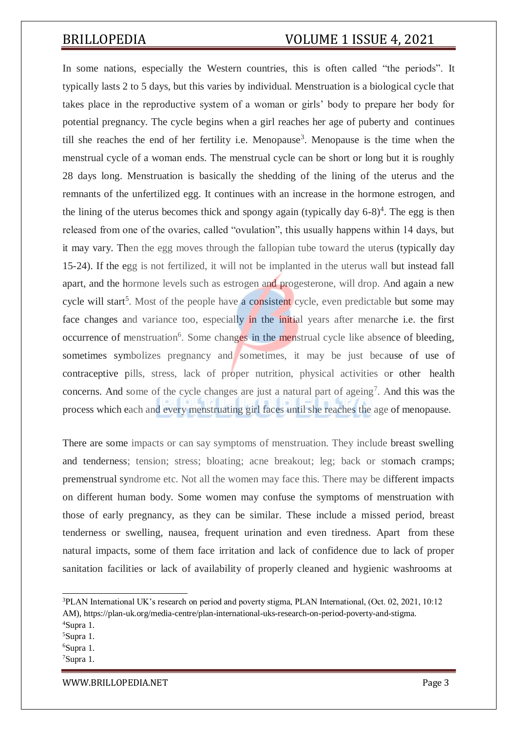In some nations, especially the Western countries, this is often called "the periods". It typically lasts 2 to 5 days, but this varies by individual. Menstruation is a biological cycle that takes place in the reproductive system of a woman or girls' body to prepare her body for potential pregnancy. The cycle begins when a girl reaches her age of puberty and continues till she reaches the end of her fertility i.e. Menopause<sup>3</sup>. Menopause is the time when the menstrual cycle of a woman ends. The menstrual cycle can be short or long but it is roughly 28 days long. Menstruation is basically the shedding of the lining of the uterus and the remnants of the unfertilized egg. It continues with an increase in the hormone estrogen, and the lining of the uterus becomes thick and spongy again (typically day  $6-8$ )<sup>4</sup>. The egg is then released from one of the ovaries, called "ovulation", this usually happens within 14 days, but it may vary. Then the egg moves through the fallopian tube toward the uterus (typically day 15-24). If the egg is not fertilized, it will not be implanted in the uterus wall but instead fall apart, and the hormone levels such as estrogen and progesterone, will drop. And again a new cycle will start<sup>5</sup>. Most of the people have a consistent cycle, even predictable but some may face changes and variance too, especially in the initial years after menarche i.e. the first occurrence of menstruation<sup>6</sup>. Some changes in the menstrual cycle like absence of bleeding, sometimes symbolizes pregnancy and sometimes, it may be just because of use of contraceptive pills, stress, lack of proper nutrition, physical activities or other health concerns. And some of the cycle changes are just a natural part of ageing<sup>7</sup>. And this was the process which each and every menstruating girl faces until she reaches the age of menopause.

There are some impacts or can say symptoms of menstruation. They include breast swelling and tenderness; tension; stress; bloating; acne breakout; leg; back or stomach cramps; premenstrual syndrome etc. Not all the women may face this. There may be different impacts on different human body. Some women may confuse the symptoms of menstruation with those of early pregnancy, as they can be similar. These include a missed period, breast tenderness or swelling, nausea, frequent urination and even tiredness. Apart from these natural impacts, some of them face irritation and lack of confidence due to lack of proper sanitation facilities or lack of availability of properly cleaned and hygienic washrooms at

<sup>3</sup>PLAN International UK's research on period and poverty stigma, PLAN International, (Oct. 02, 2021, 10:12 AM), https://plan-uk.org/media-centre/plan-international-uks-research-on-period-poverty-and-stigma.

<sup>4</sup>Supra 1.

<sup>5</sup>Supra 1.

<sup>6</sup>Supra 1.

<sup>7</sup>Supra 1.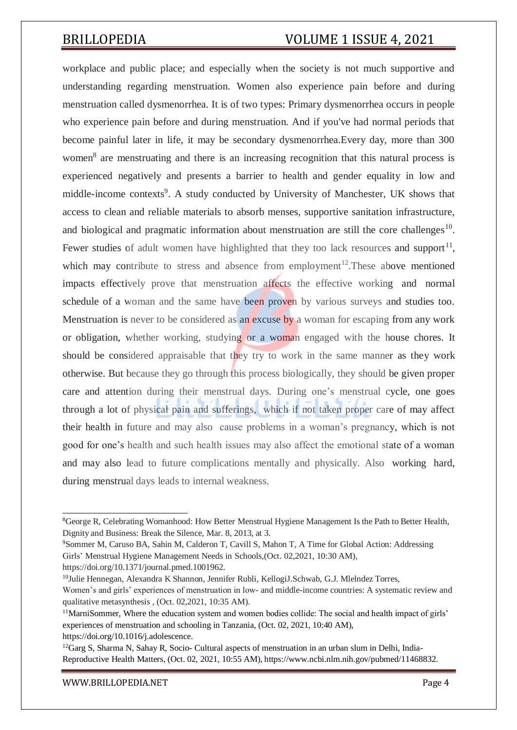workplace and public place; and especially when the society is not much supportive and understanding regarding menstruation. Women also experience pain before and during menstruation called dysmenorrhea. It is of two types: Primary dysmenorrhea occurs in people who experience pain before and during menstruation. And if you've had normal periods that become painful later in life, it may be secondary dysmenorrhea.Every day, more than 300 women<sup>8</sup> are menstruating and there is an increasing recognition that this natural process is experienced negatively and presents a barrier to health and gender equality in low and middle-income contexts<sup>9</sup>. A study conducted by University of Manchester, UK shows that access to clean and reliable materials to absorb menses, supportive sanitation infrastructure, and biological and pragmatic information about menstruation are still the core challenges<sup>10</sup>. Fewer studies of adult women have highlighted that they too lack resources and support<sup>11</sup>, which may contribute to stress and absence from employment<sup>12</sup>. These above mentioned impacts effectively prove that menstruation affects the effective working and normal schedule of a woman and the same have been proven by various surveys and studies too. Menstruation is never to be considered as an excuse by a woman for escaping from any work or obligation, whether working, studying or a woman engaged with the house chores. It should be considered appraisable that they try to work in the same manner as they work otherwise. But because they go through this process biologically, they should be given proper care and attention during their menstrual days. During one's menstrual cycle, one goes through a lot of physical pain and sufferings, which if not taken proper care of may affect their health in future and may also cause problems in a woman's pregnancy, which is not good for one's health and such health issues may also affect the emotional state of a woman and may also lead to future complications mentally and physically. Also working hard, during menstrual days leads to internal weakness.

<sup>8</sup>George R, Celebrating Womanhood: How Better Menstrual Hygiene Management Is the Path to Better Health, Dignity and Business: Break the Silence, Mar. 8, 2013, at 3.

<sup>9</sup>Sommer M, Caruso BA, Sahin M, Calderon T, Cavill S, Mahon T, A Time for Global Action: Addressing Girls' Menstrual Hygiene Management Needs in Schools,(Oct. 02,2021, 10:30 AM),

https://doi.org/10.1371/journal.pmed.1001962.

<sup>&</sup>lt;sup>10</sup>Julie Hennegan, Alexandra K Shannon, Jennifer Rubli, KellogiJ.Schwab, G.J. Mlelndez Torres, Women's and girls' experiences of menstruation in low- and middle-income countries: A systematic review and qualitative metasynthesis , (Oct. 02,2021, 10:35 AM).

 $11$ MarniSommer. Where the education system and women bodies collide: The social and health impact of girls' experiences of menstruation and schooling in Tanzania, (Oct. 02, 2021, 10:40 AM), https://doi.org/10.1016/j.adolescence.

 $12G$ arg S, Sharma N, Sahay R, Socio- Cultural aspects of menstruation in an urban slum in Delhi, India-Reproductive Health Matters, (Oct. 02, 2021, 10:55 AM), https:/[/www.ncbi.nlm.nih.gov/pubmed/11468832.](http://www.ncbi.nlm.nih.gov/pubmed/11468832)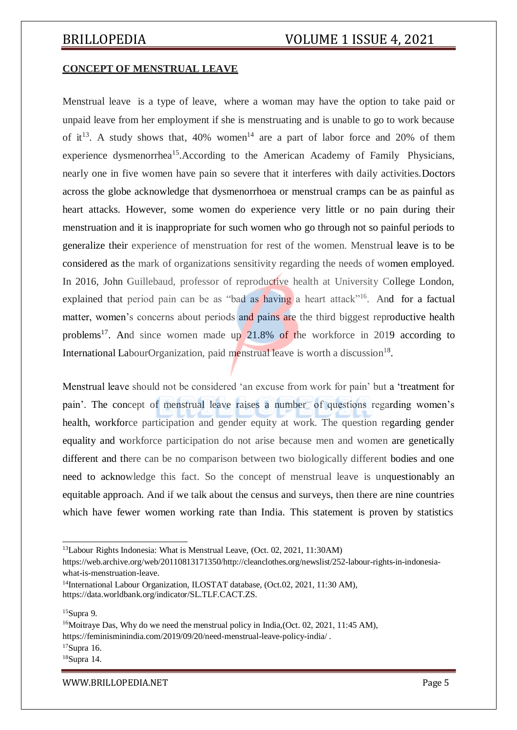### **CONCEPT OF MENSTRUAL LEAVE**

Menstrual leave is a type of leave, where a woman may have the option to take paid or unpaid leave from her employment if she is menstruating and is unable to go to work because of it<sup>13</sup>. A study shows that, 40% women<sup>14</sup> are a part of labor force and 20% of them experience dysmenorrhea<sup>15</sup>.According to the American Academy of Family Physicians, nearly one in five women have pain so severe that it interferes with daily activities.Doctors across the globe acknowledge that dysmenorrhoea or menstrual cramps can be as painful as heart attacks. However, some women do experience very little or no pain during their menstruation and it is inappropriate for such women who go through not so painful periods to generalize their experience of menstruation for rest of the women. Menstrual leave is to be considered as the mark of organizations sensitivity regarding the needs of women employed. In 2016, John Guillebaud, professor of reproductive health at University College London, explained that period pain can be as "bad as having a heart attack"<sup>16</sup>. And for a factual matter, women's concerns about periods and pains are the third biggest reproductive health problems<sup>17</sup>. And since women made up  $21.8\%$  of the workforce in 2019 according to International LabourOrganization, paid menstrual leave is worth a discussion<sup>18</sup>.

Menstrual leave should not be considered 'an excuse from work for pain' but a 'treatment for pain'. The concept of menstrual leave raises a number of questions regarding women's health, workforce participation and gender equity at work. The question regarding gender equality and workforce participation do not arise because men and women are genetically different and there can be no comparison between two biologically different bodies and one need to acknowledge this fact. So the concept of menstrual leave is unquestionably an equitable approach. And if we talk about the census and surveys, then there are nine countries which have fewer women working rate than India. This statement is proven by statistics

https://feminisminindia.com/2019/09/20/need-menstrual-leave-policy-india/ .

 $17$ Supra 16.

<sup>13</sup>Labour Rights Indonesia: What is Menstrual Leave, (Oct. 02, 2021, 11:30AM)

https://web.archive.org/web/20110813171350[/http://cleanclothes.org/newslist/252-labour-rights-in-indonesia](http://cleanclothes.org/newslist/252-labour-rights-in-indonesia-)what-is-menstruation-leave.

<sup>&</sup>lt;sup>14</sup>International Labour Organization, ILOSTAT database, (Oct.02, 2021, 11:30 AM), https://data.worldbank.org/indicator/SL.TLF.CACT.ZS.

<sup>15</sup>Supra 9.

<sup>&</sup>lt;sup>16</sup>Moitraye Das, Why do we need the menstrual policy in India, (Oct. 02, 2021, 11:45 AM),

<sup>18</sup>Supra 14.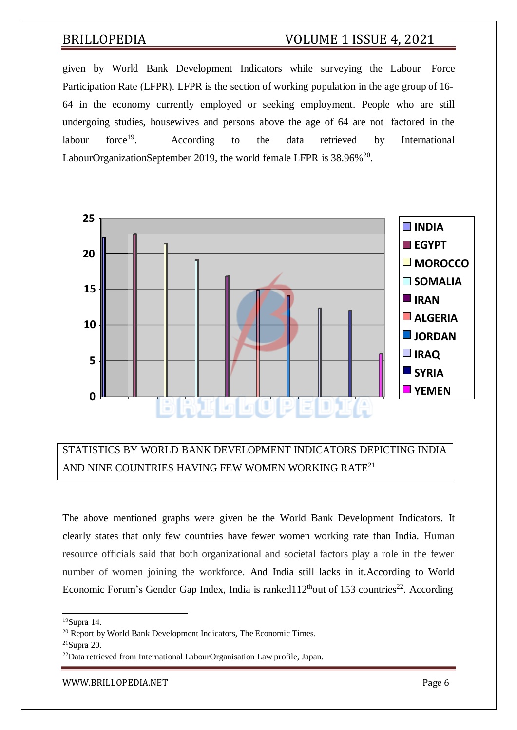given by World Bank Development Indicators while surveying the Labour Force Participation Rate (LFPR). LFPR is the section of working population in the age group of 16- 64 in the economy currently employed or seeking employment. People who are still undergoing studies, housewives and persons above the age of 64 are not factored in the labour force $19$ . . According to the data retrieved by International LabourOrganizationSeptember 2019, the world female LFPR is  $38.96\%^{20}$ .



## STATISTICS BY WORLD BANK DEVELOPMENT INDICATORS DEPICTING INDIA AND NINE COUNTRIES HAVING FEW WOMEN WORKING RATE<sup>21</sup>

The above mentioned graphs were given be the World Bank Development Indicators. It clearly states that only few countries have fewer women working rate than India. Human resource officials said that both organizational and societal factors play a role in the fewer number of women joining the workforce. And India still lacks in it.According to World Economic Forum's Gender Gap Index, India is ranked $112<sup>th</sup>$ out of 153 countries<sup>22</sup>. According

<sup>19</sup>Supra 14.

<sup>&</sup>lt;sup>20</sup> Report by World Bank Development Indicators, The Economic Times.

 $21$ Supra 20.

<sup>22</sup>Data retrieved from International LabourOrganisation Law profile, Japan.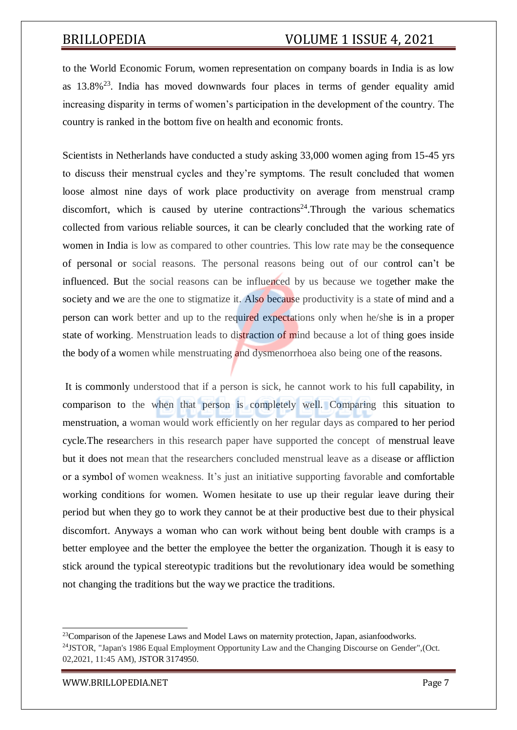to the World Economic Forum, women representation on company boards in India is as low as  $13.8\%$ <sup>23</sup>. India has moved downwards four places in terms of gender equality amid increasing disparity in terms of women's participation in the development of the country. The country is ranked in the bottom five on health and economic fronts.

Scientists in Netherlands have conducted a study asking 33,000 women aging from 15-45 yrs to discuss their menstrual cycles and they're symptoms. The result concluded that women loose almost nine days of work place productivity on average from menstrual cramp discomfort, which is caused by uterine contractions<sup>24</sup>. Through the various schematics collected from various reliable sources, it can be clearly concluded that the working rate of women in India is low as compared to other countries. This low rate may be the consequence of personal or social reasons. The personal reasons being out of our control can't be influenced. But the social reasons can be influenced by us because we together make the society and we are the one to stigmatize it. Also because productivity is a state of mind and a person can work better and up to the required expectations only when he/she is in a proper state of working. Menstruation leads to distraction of mind because a lot of thing goes inside the body of a women while menstruating and dysmenorrhoea also being one of the reasons.

It is commonly understood that if a person is sick, he cannot work to his full capability, in comparison to the when that person is completely well. Comparing this situation to menstruation, a woman would work efficiently on her regular days as compared to her period cycle.The researchers in this research paper have supported the concept of menstrual leave but it does not mean that the researchers concluded menstrual leave as a disease or affliction or a symbol of women weakness. It's just an initiative supporting favorable and comfortable working conditions for women. Women hesitate to use up their regular leave during their period but when they go to work they cannot be at their productive best due to their physical discomfort. Anyways a woman who can work without being bent double with cramps is a better employee and the better the employee the better the organization. Though it is easy to stick around the typical stereotypic traditions but the revolutionary idea would be something not changing the traditions but the way we practice the traditions.

<sup>&</sup>lt;sup>23</sup>Comparison of the Japenese Laws and Model Laws on maternity protection, Japan, asianfoodworks. <sup>24</sup>JSTOR, "Japan's 1986 Equal Employment Opportunity Law and the Changing Discourse on Gender", (Oct. 02,2021, 11:45 AM), JSTOR 3174950.

[WWW.BRILLOPEDIA.NET](http://www.brillopedia.net/) Page 7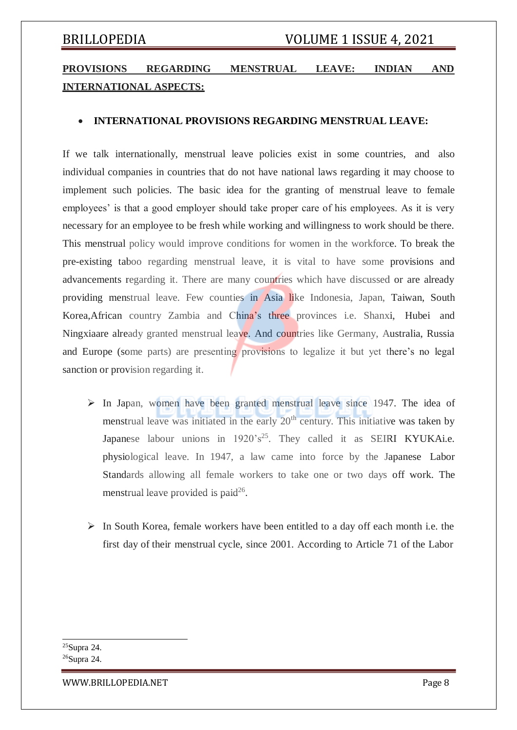## **PROVISIONS REGARDING MENSTRUAL LEAVE: INDIAN AND INTERNATIONAL ASPECTS:**

### **INTERNATIONAL PROVISIONS REGARDING MENSTRUAL LEAVE:**

If we talk internationally, menstrual leave policies exist in some countries, and also individual companies in countries that do not have national laws regarding it may choose to implement such policies. The basic idea for the granting of menstrual leave to female employees' is that a good employer should take proper care of his employees. As it is very necessary for an employee to be fresh while working and willingness to work should be there. This menstrual policy would improve conditions for women in the workforce. To break the pre-existing taboo regarding menstrual leave, it is vital to have some provisions and advancements regarding it. There are many countries which have discussed or are already providing menstrual leave. Few counties in Asia like Indonesia, Japan, Taiwan, South Korea,African country Zambia and China's three provinces i.e. Shanxi, Hubei and Ningxiaare already granted menstrual leave. And countries like Germany, Australia, Russia and Europe (some parts) are presenting provisions to legalize it but yet there's no legal sanction or provision regarding it.

- $\triangleright$  In Japan, women have been granted menstrual leave since 1947. The idea of menstrual leave was initiated in the early  $20<sup>th</sup>$  century. This initiative was taken by Japanese labour unions in 1920's<sup>25</sup>. They called it as SEIRI KYUKAi.e. physiological leave. In 1947, a law came into force by the Japanese Labor Standards allowing all female workers to take one or two days off work. The menstrual leave provided is paid $^{26}$ .
- $\triangleright$  In South Korea, female workers have been entitled to a day off each month i.e. the first day of their menstrual cycle, since 2001. According to Article 71 of the Labor

<sup>25</sup>Supra 24. <sup>26</sup>Supra 24.

[WWW.BRILLOPEDIA.NET](http://www.brillopedia.net/) Page 8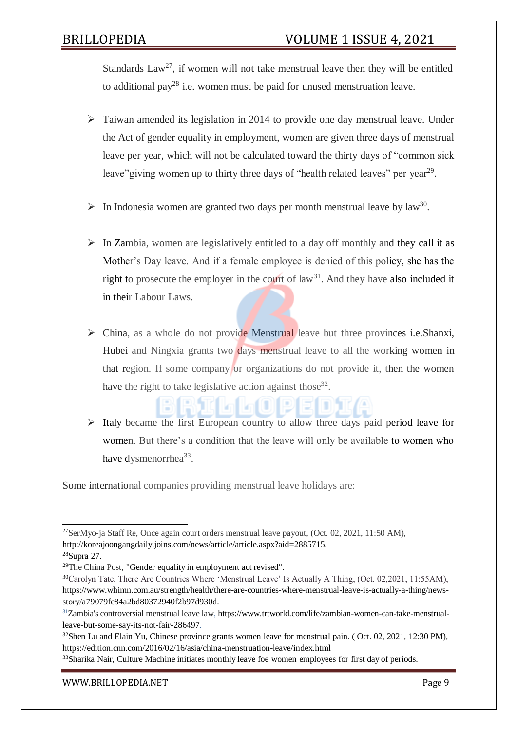Standards  $Law^{27}$ , if women will not take menstrual leave then they will be entitled to additional pay<sup>28</sup> i.e. women must be paid for unused menstruation leave.

- $\triangleright$  Taiwan amended its legislation in 2014 to provide one day menstrual leave. Under the Act of gender equality in employment, women are given three days of menstrual leave per year, which will not be calculated toward the thirty days of "common sick leave" giving women up to thirty three days of "health related leaves" per year<sup>29</sup>.
- $\triangleright$  In Indonesia women are granted two days per month menstrual leave by law<sup>30</sup>.
- $\triangleright$  In Zambia, women are legislatively entitled to a day off monthly and they call it as Mother's Day leave. And if a female employee is denied of this policy, she has the right to prosecute the employer in the court of  $law<sup>31</sup>$ . And they have also included it in their Labour Laws.
- $\triangleright$  China, as a whole do not provide Menstrual leave but three provinces i.e. Shanxi, Hubei and Ningxia grants two days menstrual leave to all the working women in that region. If some company or organizations do not provide it, then the women have the right to take legislative action against those<sup>32</sup>.
- $\triangleright$  Italy became the first European country to allow three days paid period leave for women. But there's a condition that the leave will only be available to women who have dysmenorrhea<sup>33</sup>.

Some international companies providing menstrual leave holidays are:

 $27$ SerMyo-ja Staff Re, Once again court orders menstrual leave payout, (Oct. 02, 2021, 11:50 AM), [http://koreajoongangdaily.joins.com/news/article/article.aspx?aid=2885715.](http://koreajoongangdaily.joins.com/news/article/article.aspx?aid=2885715)

<sup>28</sup>Supra 27.

 $29$ The China Post, "Gender equality in employment act revised".

<sup>30</sup>Carolyn Tate, There Are Countries Where 'Menstrual Leave' Is Actually A Thing, (Oct. 02,2021, 11:55AM), https:/[/www.whimn.com.au/strength/health/there-are-countries-where-menstrual-leave-is-actually-a-thing/news](http://www.whimn.com.au/strength/health/there-are-countries-where-menstrual-leave-is-actually-a-thing/news-)story/a79079fc84a2bd80372940f2b97d930d.

<sup>31</sup>Zambia's controversial menstrual leave law, https:/[/www.trtworld.com/life/zambian-women-can-take-menstrual](http://www.trtworld.com/life/zambian-women-can-take-menstrual-)leave-but-some-say-its-not-fair-286497.

 $32$ Shen Lu and Elain Yu, Chinese province grants women leave for menstrual pain. (Oct. 02, 2021, 12:30 PM), https://edition.cnn.com/2016/02/16/asia/china-menstruation-leave/index.html

<sup>&</sup>lt;sup>33</sup>Sharika Nair, Culture Machine initiates monthly leave foe women employees for first day of periods.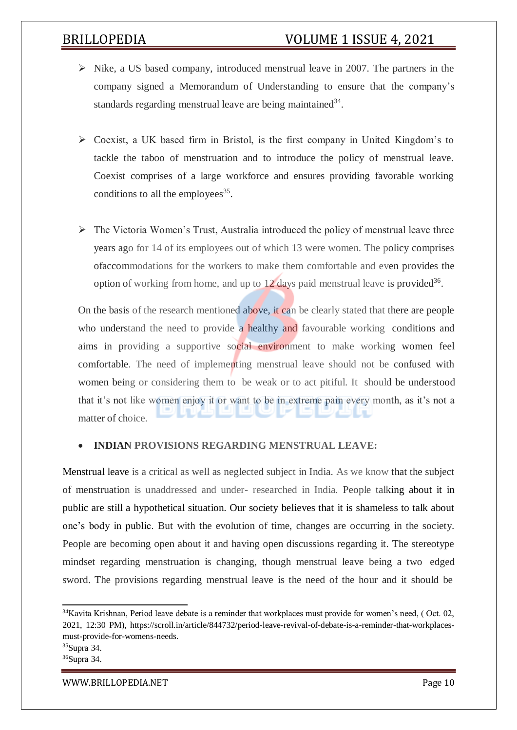- $\triangleright$  Nike, a US based company, introduced menstrual leave in 2007. The partners in the company signed a Memorandum of Understanding to ensure that the company's standards regarding menstrual leave are being maintained<sup>34</sup>.
- $\triangleright$  Coexist, a UK based firm in Bristol, is the first company in United Kingdom's to tackle the taboo of menstruation and to introduce the policy of menstrual leave. Coexist comprises of a large workforce and ensures providing favorable working conditions to all the employees $35$ .
- $\triangleright$  The Victoria Women's Trust, Australia introduced the policy of menstrual leave three years ago for 14 of its employees out of which 13 were women. The policy comprises ofaccommodations for the workers to make them comfortable and even provides the option of working from home, and up to  $12$  days paid menstrual leave is provided<sup>36</sup>.

On the basis of the research mentioned above, it can be clearly stated that there are people who understand the need to provide a healthy and favourable working conditions and aims in providing a supportive social environment to make working women feel comfortable. The need of implementing menstrual leave should not be confused with women being or considering them to be weak or to act pitiful. It should be understood that it's not like women enjoy it or want to be in extreme pain every month, as it's not a matter of choice.

### **INDIAN PROVISIONS REGARDING MENSTRUAL LEAVE:**

Menstrual leave is a critical as well as neglected subject in India. As we know that the subject of menstruation is unaddressed and under- researched in India. People talking about it in public are still a hypothetical situation. Our society believes that it is shameless to talk about one's body in public. But with the evolution of time, changes are occurring in the society. People are becoming open about it and having open discussions regarding it. The stereotype mindset regarding menstruation is changing, though menstrual leave being a two edged sword. The provisions regarding menstrual leave is the need of the hour and it should be

<sup>&</sup>lt;sup>34</sup>Kavita Krishnan, Period leave debate is a reminder that workplaces must provide for women's need, (Oct. 02, 2021, 12:30 PM), https://scroll.in/article/844732/period-leave-revival-of-debate-is-a-reminder-that-workplacesmust-provide-for-womens-needs.

<sup>35</sup>Supra 34.

<sup>36</sup>Supra 34.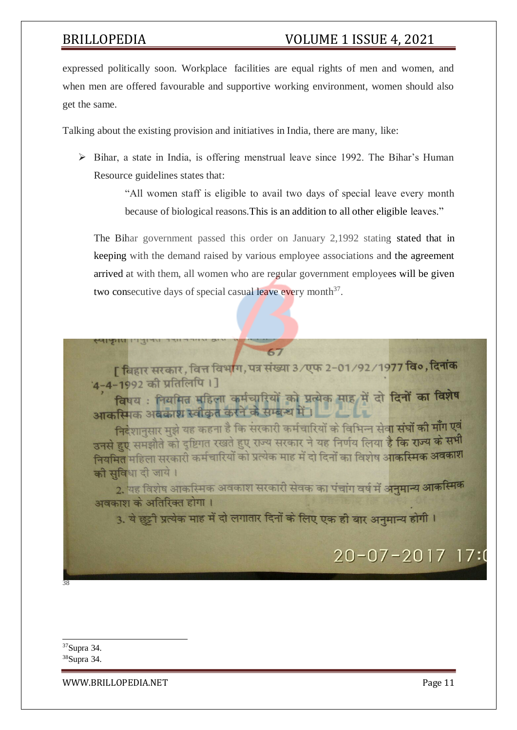expressed politically soon. Workplace facilities are equal rights of men and women, and when men are offered favourable and supportive working environment, women should also get the same.

Talking about the existing provision and initiatives in India, there are many, like:

 $\triangleright$  Bihar, a state in India, is offering menstrual leave since 1992. The Bihar's Human Resource guidelines states that:

> "All women staff is eligible to avail two days of special leave every month because of biological reasons.This is an addition to all other eligible leaves."

The Bihar government passed this order on January 2,1992 stating stated that in keeping with the demand raised by various employee associations and the agreement arrived at with them, all women who are regular government employees will be given two consecutive days of special casual leave every month<sup>37</sup>.



विषय: नियमित महिला कर्मचारियों को प्रत्येक माह में दो दिनों का विशेष आकस्मिक अवकाश स्वीकृत करने के सम्बन्ध में।

निदेशानसार मुझे यह कहना है कि सरकारी कर्मचारियों के विभिन्न सेवा संघों की माँग एवं उनसे हुए समझौते को दृष्टिगत रखते हुए राज्य सरकार ने यह निर्णय लिया है कि राज्य के सभी .<br>नियमित महिला सरकारी कर्मचारियों को प्रत्येक माह में दो दिनों का विशेष आ**कस्मिक अवकाश** की सुविधा दी जाये।

-<br>2. यह विशेष आकस्मिक अवकाश सरकारी सेवक का पंचांग वर्ष में अनुमान्य <mark>आकस्मिक</mark> अवकाश के अतिरिक्त होगा।

3. ये छुट्टी प्रत्येक माह में दो लगातार दिनों के लिए एक ही बार अनमान्य होगी।

# $20 - 07 - 2017$  17:0

38

<sup>37</sup>Supra 34.

<sup>38</sup>Supra 34.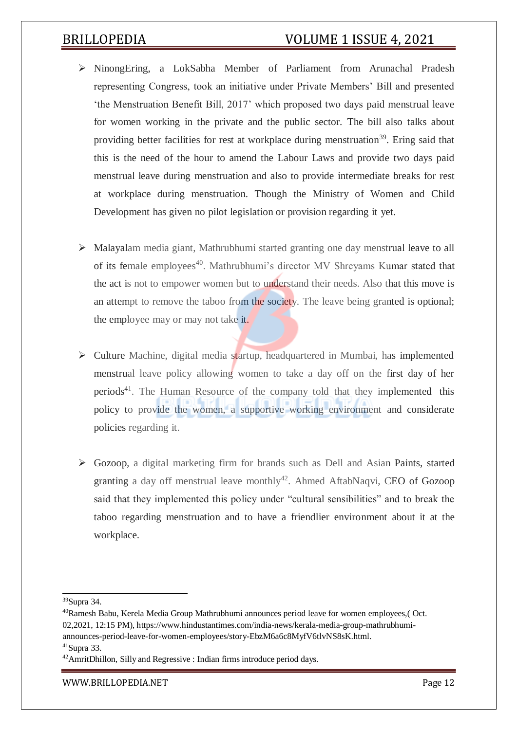- NinongEring, a LokSabha Member of Parliament from Arunachal Pradesh representing Congress, took an initiative under Private Members' Bill and presented 'the Menstruation Benefit Bill, 2017' which proposed two days paid menstrual leave for women working in the private and the public sector. The bill also talks about providing better facilities for rest at workplace during menstruation<sup>39</sup>. Ering said that this is the need of the hour to amend the Labour Laws and provide two days paid menstrual leave during menstruation and also to provide intermediate breaks for rest at workplace during menstruation. Though the Ministry of Women and Child Development has given no pilot legislation or provision regarding it yet.
- Malayalam media giant, Mathrubhumi started granting one day menstrual leave to all of its female employees<sup>40</sup>. Mathrubhumi's director MV Shreyams Kumar stated that the act is not to empower women but to understand their needs. Also that this move is an attempt to remove the taboo from the society. The leave being granted is optional; the employee may or may not take it.
- $\triangleright$  Culture Machine, digital media startup, headquartered in Mumbai, has implemented menstrual leave policy allowing women to take a day off on the first day of her periods<sup>41</sup>. The Human Resource of the company told that they implemented this policy to provide the women, a supportive working environment and considerate policies regarding it.
- Gozoop, a digital marketing firm for brands such as Dell and Asian Paints, started granting a day off menstrual leave monthly<sup>42</sup>. Ahmed AftabNaqvi, CEO of Gozoop said that they implemented this policy under "cultural sensibilities" and to break the taboo regarding menstruation and to have a friendlier environment about it at the workplace.

<sup>39</sup>Supra 34.

<sup>40</sup>Ramesh Babu, Kerela Media Group Mathrubhumi announces period leave for women employees,( Oct. 02,2021, 12:15 PM), https:/[/www.hindustantimes.com/india-news/kerala-media-group-mathrubhumi](http://www.hindustantimes.com/india-news/kerala-media-group-mathrubhumi-)announces-period-leave-for-women-employees/story-EbzM6a6c8MyfV6tlvNS8sK.html.

 $41$ Supra 33.

<sup>42</sup>AmritDhillon, Silly and Regressive : Indian firms introduce period days.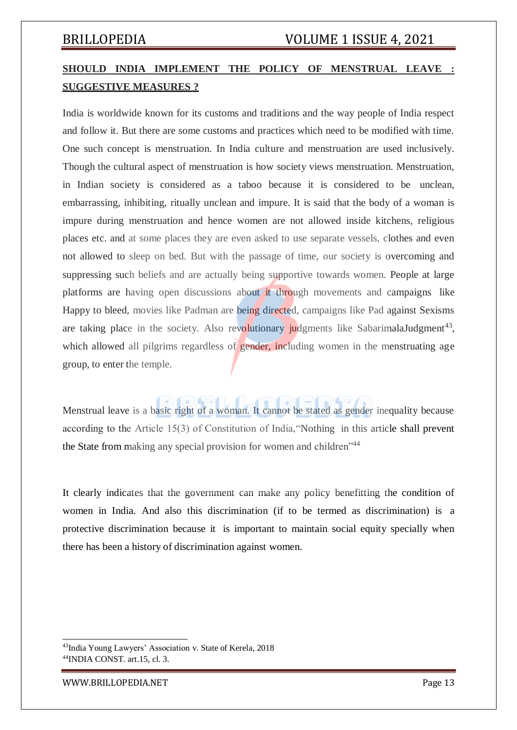## **SHOULD INDIA IMPLEMENT THE POLICY OF MENSTRUAL LEAVE : SUGGESTIVE MEASURES ?**

India is worldwide known for its customs and traditions and the way people of India respect and follow it. But there are some customs and practices which need to be modified with time. One such concept is menstruation. In India culture and menstruation are used inclusively. Though the cultural aspect of menstruation is how society views menstruation. Menstruation, in Indian society is considered as a taboo because it is considered to be unclean, embarrassing, inhibiting, ritually unclean and impure. It is said that the body of a woman is impure during menstruation and hence women are not allowed inside kitchens, religious places etc. and at some places they are even asked to use separate vessels, clothes and even not allowed to sleep on bed. But with the passage of time, our society is overcoming and suppressing such beliefs and are actually being supportive towards women. People at large platforms are having open discussions about it through movements and campaigns like Happy to bleed, movies like Padman are being directed, campaigns like Pad against Sexisms are taking place in the society. Also revolutionary judgments like SabarimalaJudgment<sup>43</sup>, which allowed all pilgrims regardless of gender, including women in the menstruating age group, to enter the temple.

Menstrual leave is a basic right of a woman. It cannot be stated as gender inequality because according to the Article 15(3) of Constitution of India,"Nothing in this article shall prevent the State from making any special provision for women and children<sup>"44</sup>

It clearly indicates that the government can make any policy benefitting the condition of women in India. And also this discrimination (if to be termed as discrimination) is a protective discrimination because it is important to maintain social equity specially when there has been a history of discrimination against women.

<sup>43</sup>India Young Lawyers' Association v. State of Kerela, 2018 <sup>44</sup>INDIA CONST. art.15, cl. 3.